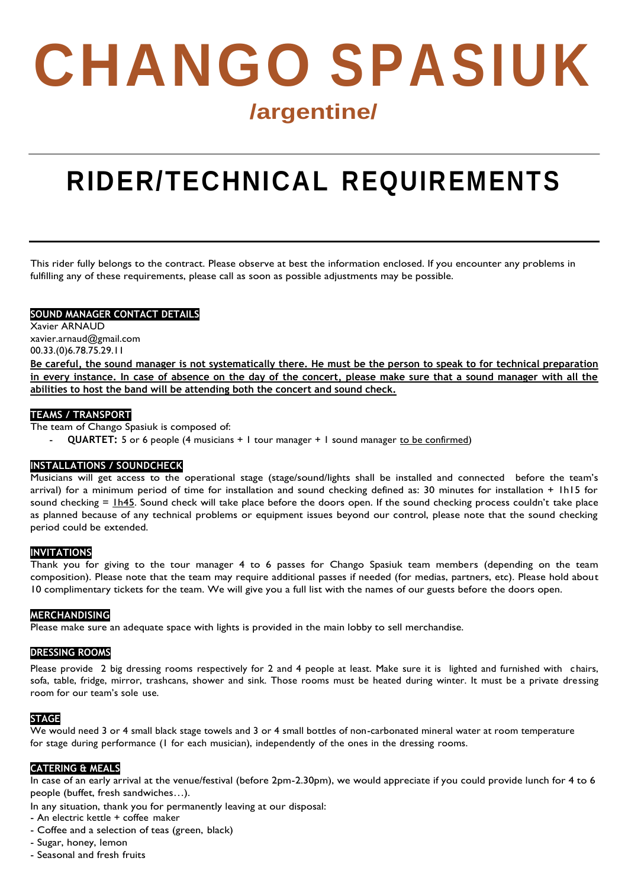# **CHANGO SPASIUK /argentine/**

# **RIDER/TECHNICAL REQUIREMENTS**

This rider fully belongs to the contract. Please observe at best the information enclosed. If you encounter any problems in fulfilling any of these requirements, please call as soon as possible adjustments may be possible.

# **SOUND MANAGER CONTACT DETAILS**

Xavier ARNAUD [xavier.arnaud@gmail.com](mailto:xavier.arnaud@gmail.com) 00.33.(0)6.78.75.29.11

**Be careful, the sound manager is not systematically there. He must be the person to speak to for technical preparation in every instance. In case of absence on the day of the concert, please make sure that a sound manager with all the abilities to host the band will be attending both the concert and sound check.**

# **TEAMS / TRANSPORT**

The team of Chango Spasiuk is composed of:

QUARTET: 5 or 6 people (4 musicians + 1 tour manager + 1 sound manager to be confirmed)

# **INSTALLATIONS / SOUNDCHECK**

Musicians will get access to the operational stage (stage/sound/lights shall be installed and connected before the team's arrival) for a minimum period of time for installation and sound checking defined as: 30 minutes for installation + 1h15 for sound checking  $=$   $\underline{1h45}$ . Sound check will take place before the doors open. If the sound checking process couldn't take place as planned because of any technical problems or equipment issues beyond our control, please note that the sound checking period could be extended.

# **INVITATIONS**

Thank you for giving to the tour manager 4 to 6 passes for Chango Spasiuk team members (depending on the team composition). Please note that the team may require additional passes if needed (for medias, partners, etc). Please hold about 10 complimentary tickets for the team. We will give you a full list with the names of our guests before the doors open.

# **MERCHANDISING**

Please make sure an adequate space with lights is provided in the main lobby to sell merchandise.

# **DRESSING ROOMS**

Please provide 2 big dressing rooms respectively for 2 and 4 people at least. Make sure it is lighted and furnished with chairs, sofa, table, fridge, mirror, trashcans, shower and sink. Those rooms must be heated during winter. It must be a private dressing room for our team's sole use.

# **STAGE**

We would need 3 or 4 small black stage towels and 3 or 4 small bottles of non-carbonated mineral water at room temperature for stage during performance (1 for each musician), independently of the ones in the dressing rooms.

#### **CATERING & MEALS**

In case of an early arrival at the venue/festival (before 2pm-2.30pm), we would appreciate if you could provide lunch for 4 to 6 people (buffet, fresh sandwiches…).

In any situation, thank you for permanently leaving at our disposal:

- An electric kettle + coffee maker
- Coffee and a selection of teas (green, black)
- Sugar, honey, lemon
- Seasonal and fresh fruits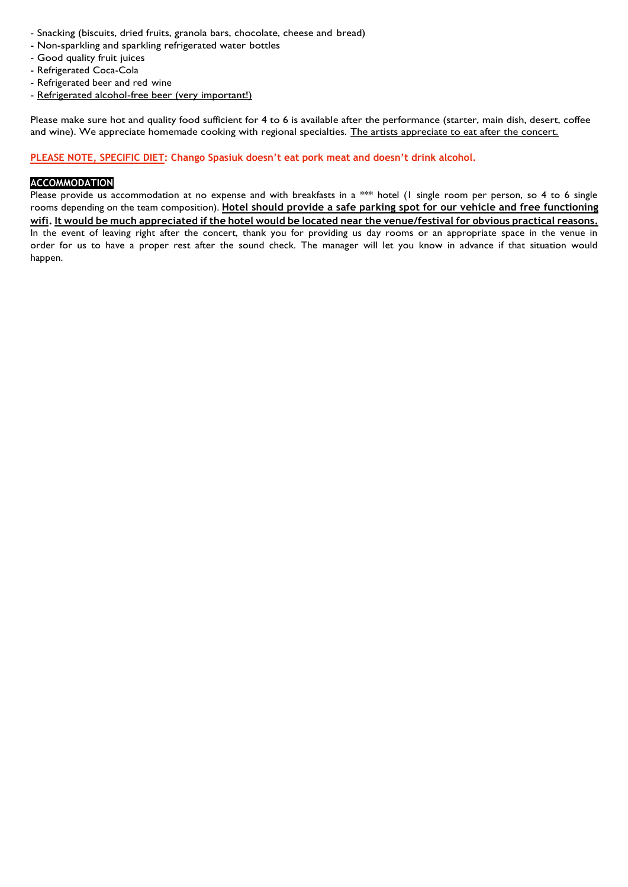- Snacking (biscuits, dried fruits, granola bars, chocolate, cheese and bread)
- Non-sparkling and sparkling refrigerated water bottles
- Good quality fruit juices
- Refrigerated Coca-Cola
- Refrigerated beer and red wine
- Refrigerated alcohol-free beer (very important!)

Please make sure hot and quality food sufficient for 4 to 6 is available after the performance (starter, main dish, desert, coffee and wine). We appreciate homemade cooking with regional specialties. The artists appreciate to eat after the concert.

#### **PLEASE NOTE, SPECIFIC DIET: Chango Spasiuk doesn't eat pork meat and doesn't drink alcohol.**

# **ACCOMMODATION**

Please provide us accommodation at no expense and with breakfasts in a \*\*\* hotel (I single room per person, so 4 to 6 single rooms depending on the team composition). **Hotel should provide a safe parking spot for our vehicle and free functioning** wifi. It would be much appreciated if the hotel would be located near the venue/festival for obvious practical reasons. In the event of leaving right after the concert, thank you for providing us day rooms or an appropriate space in the venue in order for us to have a proper rest after the sound check. The manager will let you know in advance if that situation would happen.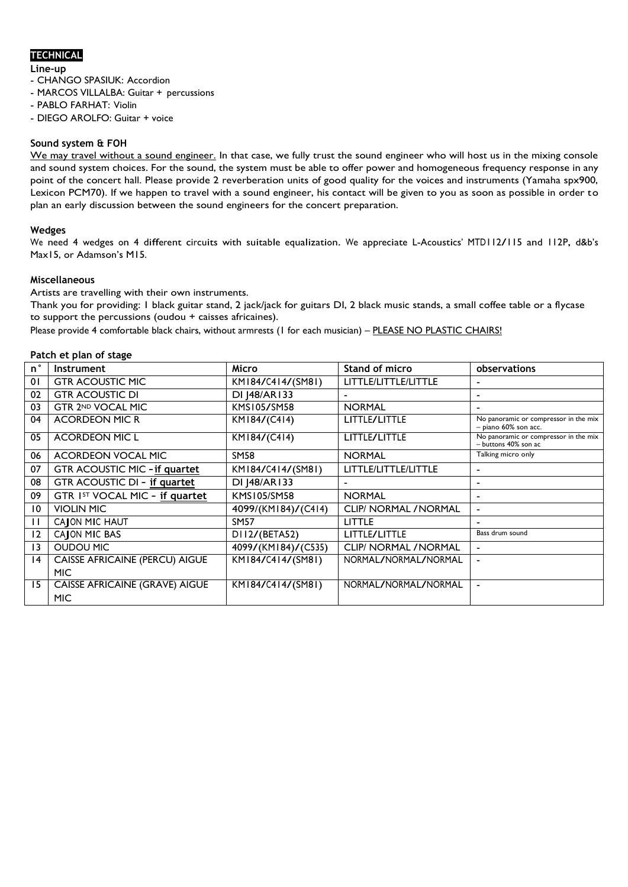# **TECHNICAL**

**Line-up**

- CHANGO SPASIUK: Accordion

- MARCOS VILLALBA: Guitar + percussions
- PABLO FARHAT: Violin
- DIEGO AROLFO: Guitar + voice

#### **Sound system & FOH**

We may travel without a sound engineer. In that case, we fully trust the sound engineer who will host us in the mixing console and sound system choices. For the sound, the system must be able to offer power and homogeneous frequency response in any point of the concert hall. Please provide 2 reverberation units of good quality for the voices and instruments (Yamaha spx900, Lexicon PCM70). If we happen to travel with a sound engineer, his contact will be given to you as soon as possible in order to plan an early discussion between the sound engineers for the concert preparation.

#### **Wedges**

We need <sup>4</sup> wedges on <sup>4</sup> different circuits with suitable equalization. We appreciate L-Acoustics' MTD112/115 and 112P, d&b's Max15, or Adamson's M15.

#### **Miscellaneous**

Artists are travelling with their own instruments.

Thank you for providing: 1 black guitar stand, 2 jack/jack for guitars DI, 2 black music stands, a small coffee table or a flycase to support the percussions (oudou + caisses africaines).

Please provide 4 comfortable black chairs, without armrests (1 for each musician) – PLEASE NO PLASTIC CHAIRS!

#### **Patch et plan of stage**

| n°           | <b>Instrument</b>                     | <b>Micro</b>        | <b>Stand of micro</b>        | observations                                                    |
|--------------|---------------------------------------|---------------------|------------------------------|-----------------------------------------------------------------|
| 01           | <b>GTR ACOUSTIC MIC</b>               | KM184/C414/(SM81)   | LITTLE/LITTLE/LITTLE         |                                                                 |
| 02           | <b>GTR ACOUSTIC DI</b>                | DI   48/AR I 33     |                              | $\blacksquare$                                                  |
| 03           | GTR 2ND VOCAL MIC                     | KMS105/SM58         | <b>NORMAL</b>                | $\overline{\phantom{0}}$                                        |
| 04           | <b>ACORDEON MIC R</b>                 | KM184/(C414)        | LITTLE/LITTLE                | No panoramic or compressor in the mix<br>$-$ piano 60% son acc. |
| 05           | <b>ACORDEON MIC L</b>                 | KM184/(C414)        | LITTLE/LITTLE                | No panoramic or compressor in the mix<br>- buttons 40% son ac   |
| 06           | ACORDEON VOCAL MIC                    | SM58                | <b>NORMAL</b>                | Talking micro only                                              |
| 07           | <b>GTR ACOUSTIC MIC - if quartet</b>  | KM184/C414/(SM81)   | LITTLE/LITTLE/LITTLE         |                                                                 |
| 08           | GTR ACOUSTIC DI - if quartet          | DI   48/AR   33     |                              |                                                                 |
| 09           | GTR IST VOCAL MIC - if quartet        | KMS105/SM58         | <b>NORMAL</b>                |                                                                 |
| 10           | <b>VIOLIN MIC</b>                     | 4099/(KM184)/(C414) | CLIP/ NORMAL / NORMAL        | ٠                                                               |
| $\mathsf{L}$ | CAJON MIC HAUT                        | <b>SM57</b>         | <b>LITTLE</b>                |                                                                 |
| 12           | CAJON MIC BAS                         | D112/(BETA52)       | LITTLE/LITTLE                | Bass drum sound                                                 |
| 13           | <b>OUDOU MIC</b>                      | 4099/(KM184)/(C535) | <b>CLIP/ NORMAL / NORMAL</b> | -                                                               |
| 4            | <b>CAISSE AFRICAINE (PERCU) AIGUE</b> | KM184/C414/(SM81)   | NORMAL/NORMAL/NORMAL         |                                                                 |
|              | <b>MIC</b>                            |                     |                              |                                                                 |
| 15           | <b>CAISSE AFRICAINE (GRAVE) AIGUE</b> | KM184/C414/(SM81)   | NORMAL/NORMAL/NORMAL         | $\blacksquare$                                                  |
|              | <b>MIC</b>                            |                     |                              |                                                                 |